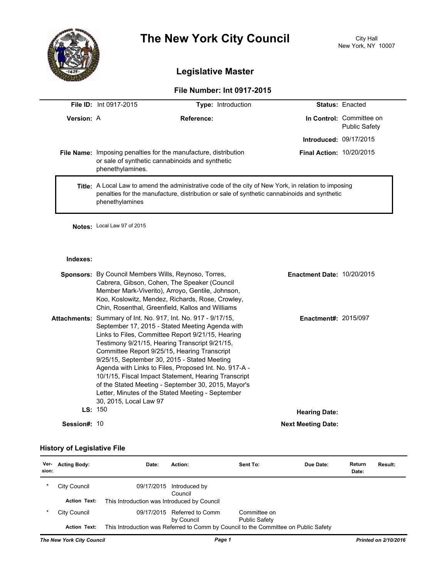

# **The New York City Council** City Hall

## **Legislative Master**

### **File Number: Int 0917-2015**

|                   | <b>File ID:</b> Int 0917-2015                                                                                                                                                                                                 | <b>Type: Introduction</b> |                                 | <b>Status: Enacted</b>                           |
|-------------------|-------------------------------------------------------------------------------------------------------------------------------------------------------------------------------------------------------------------------------|---------------------------|---------------------------------|--------------------------------------------------|
| <b>Version: A</b> |                                                                                                                                                                                                                               | Reference:                |                                 | In Control: Committee on<br><b>Public Safety</b> |
|                   |                                                                                                                                                                                                                               |                           | <b>Introduced: 09/17/2015</b>   |                                                  |
|                   | File Name: Imposing penalties for the manufacture, distribution<br>or sale of synthetic cannabinoids and synthetic<br>phenethylamines.                                                                                        |                           | <b>Final Action: 10/20/2015</b> |                                                  |
|                   | <b>Title:</b> A Local Law to amend the administrative code of the city of New York, in relation to imposing<br>penalties for the manufacture, distribution or sale of synthetic cannabinoids and synthetic<br>phenethylamines |                           |                                 |                                                  |

**Notes:** Local Law 97 of 2015

#### **Indexes:**

|              | <b>Sponsors:</b> By Council Members Wills, Reynoso, Torres,<br>Cabrera, Gibson, Cohen, The Speaker (Council<br>Member Mark-Viverito), Arroyo, Gentile, Johnson,<br>Koo, Koslowitz, Mendez, Richards, Rose, Crowley,<br>Chin, Rosenthal, Greenfield, Kallos and Williams                                                                                                                                                                                                                                                                                                               | <b>Enactment Date: 10/20/2015</b> |  |
|--------------|---------------------------------------------------------------------------------------------------------------------------------------------------------------------------------------------------------------------------------------------------------------------------------------------------------------------------------------------------------------------------------------------------------------------------------------------------------------------------------------------------------------------------------------------------------------------------------------|-----------------------------------|--|
|              | <b>Attachments:</b> Summary of Int. No. 917, Int. No. 917 - 9/17/15,<br>September 17, 2015 - Stated Meeting Agenda with<br>Links to Files, Committee Report 9/21/15, Hearing<br>Testimony 9/21/15, Hearing Transcript 9/21/15,<br>Committee Report 9/25/15, Hearing Transcript<br>9/25/15, September 30, 2015 - Stated Meeting<br>Agenda with Links to Files, Proposed Int. No. 917-A -<br>10/1/15, Fiscal Impact Statement, Hearing Transcript<br>of the Stated Meeting - September 30, 2015, Mayor's<br>Letter, Minutes of the Stated Meeting - September<br>30, 2015, Local Law 97 | <b>Enactment#: 2015/097</b>       |  |
|              | LS: 150                                                                                                                                                                                                                                                                                                                                                                                                                                                                                                                                                                               | <b>Hearing Date:</b>              |  |
| Session#: 10 |                                                                                                                                                                                                                                                                                                                                                                                                                                                                                                                                                                                       | <b>Next Meeting Date:</b>         |  |

#### **History of Legislative File**

| Ver-<br>sion:             | <b>Acting Body:</b> | Date:                                       | Action:                                                                             | Sent To:                             | Due Date: | Return<br>Date: | Result:              |
|---------------------------|---------------------|---------------------------------------------|-------------------------------------------------------------------------------------|--------------------------------------|-----------|-----------------|----------------------|
| $\star$                   | City Council        | 09/17/2015                                  | Introduced by<br>Council                                                            |                                      |           |                 |                      |
|                           | <b>Action Text:</b> | This Introduction was Introduced by Council |                                                                                     |                                      |           |                 |                      |
| $\star$                   | City Council        |                                             | 09/17/2015 Referred to Comm<br>by Council                                           | Committee on<br><b>Public Safety</b> |           |                 |                      |
|                           | <b>Action Text:</b> |                                             | This Introduction was Referred to Comm by Council to the Committee on Public Safety |                                      |           |                 |                      |
| The New York City Council |                     |                                             | Page 1                                                                              |                                      |           |                 | Printed on 2/10/2016 |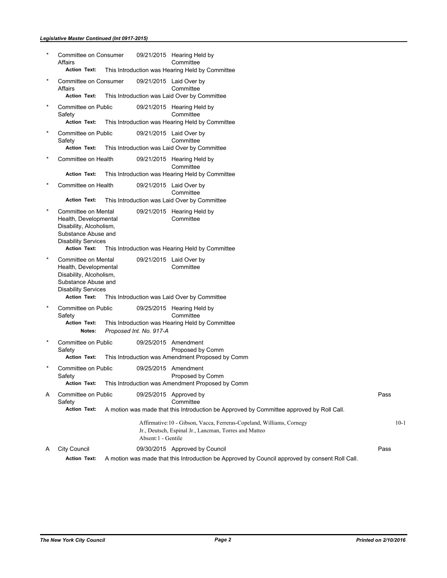#### *Legislative Master Continued (Int 0917-2015)*

|   | Committee on Consumer<br>Affairs<br><b>Action Text:</b>                                                                                             |                         | 09/21/2015 Hearing Held by<br>Committee<br>This Introduction was Hearing Held by Committee                                      |      |        |
|---|-----------------------------------------------------------------------------------------------------------------------------------------------------|-------------------------|---------------------------------------------------------------------------------------------------------------------------------|------|--------|
|   |                                                                                                                                                     |                         |                                                                                                                                 |      |        |
|   | Committee on Consumer<br>Affairs<br><b>Action Text:</b>                                                                                             |                         | 09/21/2015 Laid Over by<br>Committee<br>This Introduction was Laid Over by Committee                                            |      |        |
|   | Committee on Public<br>Safety<br><b>Action Text:</b>                                                                                                |                         | 09/21/2015 Hearing Held by<br>Committee<br>This Introduction was Hearing Held by Committee                                      |      |        |
|   | Committee on Public<br>Safety<br><b>Action Text:</b>                                                                                                |                         | 09/21/2015 Laid Over by<br>Committee<br>This Introduction was Laid Over by Committee                                            |      |        |
|   | Committee on Health                                                                                                                                 |                         | 09/21/2015 Hearing Held by<br>Committee                                                                                         |      |        |
|   | <b>Action Text:</b>                                                                                                                                 |                         | This Introduction was Hearing Held by Committee                                                                                 |      |        |
|   | Committee on Health                                                                                                                                 |                         | 09/21/2015 Laid Over by<br>Committee                                                                                            |      |        |
|   | <b>Action Text:</b>                                                                                                                                 |                         | This Introduction was Laid Over by Committee                                                                                    |      |        |
|   | Committee on Mental<br>Health, Developmental<br>Disability, Alcoholism,<br>Substance Abuse and<br><b>Disability Services</b><br><b>Action Text:</b> |                         | 09/21/2015 Hearing Held by<br>Committee<br>This Introduction was Hearing Held by Committee                                      |      |        |
|   | Committee on Mental<br>Health, Developmental<br>Disability, Alcoholism,<br>Substance Abuse and<br><b>Disability Services</b><br><b>Action Text:</b> |                         | 09/21/2015 Laid Over by<br>Committee<br>This Introduction was Laid Over by Committee                                            |      |        |
|   | Committee on Public                                                                                                                                 |                         | 09/25/2015 Hearing Held by                                                                                                      |      |        |
|   | Safety<br><b>Action Text:</b><br>Notes:                                                                                                             | Proposed Int. No. 917-A | Committee<br>This Introduction was Hearing Held by Committee                                                                    |      |        |
|   | Committee on Public<br>Safety<br><b>Action Text:</b>                                                                                                |                         | 09/25/2015 Amendment<br>Proposed by Comm<br>This Introduction was Amendment Proposed by Comm                                    |      |        |
|   | Committee on Public<br>Safety<br><b>Action Text:</b>                                                                                                |                         | 09/25/2015 Amendment<br>Proposed by Comm                                                                                        |      |        |
|   |                                                                                                                                                     |                         | This Introduction was Amendment Proposed by Comm                                                                                |      |        |
| A | Committee on Public<br>Safety<br><b>Action Text:</b>                                                                                                |                         | 09/25/2015 Approved by<br>Committee<br>A motion was made that this Introduction be Approved by Committee approved by Roll Call. | Pass |        |
|   |                                                                                                                                                     | Absent:1 - Gentile      | Affirmative: 10 - Gibson, Vacca, Ferreras-Copeland, Williams, Cornegy<br>Jr., Deutsch, Espinal Jr., Lancman, Torres and Matteo  |      | $10-1$ |
| A | <b>City Council</b>                                                                                                                                 |                         | 09/30/2015 Approved by Council                                                                                                  | Pass |        |
|   | <b>Action Text:</b>                                                                                                                                 |                         | A motion was made that this Introduction be Approved by Council approved by consent Roll Call.                                  |      |        |